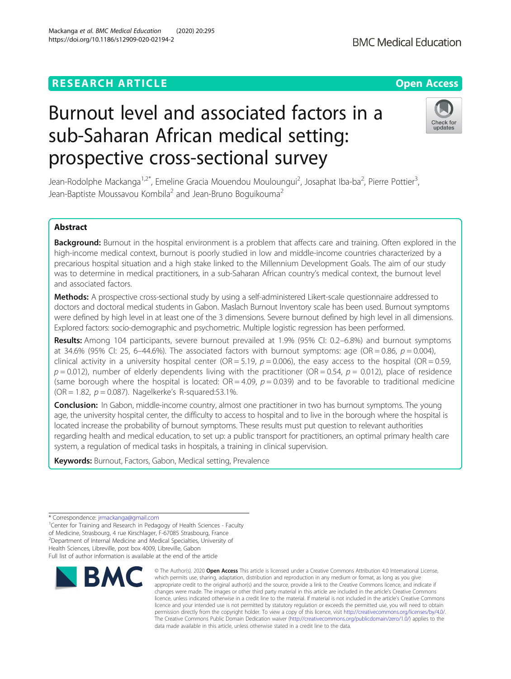# **RESEARCH ARTICLE Example 2014 12:30 The Open Access**

# Burnout level and associated factors in a sub-Saharan African medical setting: prospective cross-sectional survey

Jean-Rodolphe Mackanga<sup>1,2\*</sup>, Emeline Gracia Mouendou Mouloungui<sup>2</sup>, Josaphat Iba-ba<sup>2</sup>, Pierre Pottier<sup>3</sup> , Jean-Baptiste Moussavou Kombila<sup>2</sup> and Jean-Bruno Boguikouma<sup>2</sup>

# Abstract

Background: Burnout in the hospital environment is a problem that affects care and training. Often explored in the high-income medical context, burnout is poorly studied in low and middle-income countries characterized by a precarious hospital situation and a high stake linked to the Millennium Development Goals. The aim of our study was to determine in medical practitioners, in a sub-Saharan African country's medical context, the burnout level and associated factors.

Methods: A prospective cross-sectional study by using a self-administered Likert-scale questionnaire addressed to doctors and doctoral medical students in Gabon. Maslach Burnout Inventory scale has been used. Burnout symptoms were defined by high level in at least one of the 3 dimensions. Severe burnout defined by high level in all dimensions. Explored factors: socio-demographic and psychometric. Multiple logistic regression has been performed.

Results: Among 104 participants, severe burnout prevailed at 1.9% (95% CI: 0.2-6.8%) and burnout symptoms at 34.6% (95% CI: 25, 6-44.6%). The associated factors with burnout symptoms: age (OR = 0.86,  $p = 0.004$ ), clinical activity in a university hospital center (OR = 5.19,  $p = 0.006$ ), the easy access to the hospital (OR = 0.59,  $p = 0.012$ ), number of elderly dependents living with the practitioner (OR = 0.54,  $p = 0.012$ ), place of residence (same borough where the hospital is located:  $OR = 4.09$ ,  $p = 0.039$ ) and to be favorable to traditional medicine (OR = 1.82,  $p = 0.087$ ). Nagelkerke's R-squared:53.1%.

**Conclusion:** In Gabon, middle-income country, almost one practitioner in two has burnout symptoms. The young age, the university hospital center, the difficulty to access to hospital and to live in the borough where the hospital is located increase the probability of burnout symptoms. These results must put question to relevant authorities regarding health and medical education, to set up: a public transport for practitioners, an optimal primary health care system, a regulation of medical tasks in hospitals, a training in clinical supervision.

Keywords: Burnout, Factors, Gabon, Medical setting, Prevalence

Full list of author information is available at the end of the article



<sup>©</sup> The Author(s), 2020 **Open Access** This article is licensed under a Creative Commons Attribution 4.0 International License, which permits use, sharing, adaptation, distribution and reproduction in any medium or format, as long as you give appropriate credit to the original author(s) and the source, provide a link to the Creative Commons licence, and indicate if changes were made. The images or other third party material in this article are included in the article's Creative Commons licence, unless indicated otherwise in a credit line to the material. If material is not included in the article's Creative Commons licence and your intended use is not permitted by statutory regulation or exceeds the permitted use, you will need to obtain permission directly from the copyright holder. To view a copy of this licence, visit [http://creativecommons.org/licenses/by/4.0/.](http://creativecommons.org/licenses/by/4.0/) The Creative Commons Public Domain Dedication waiver [\(http://creativecommons.org/publicdomain/zero/1.0/](http://creativecommons.org/publicdomain/zero/1.0/)) applies to the data made available in this article, unless otherwise stated in a credit line to the data.





<sup>\*</sup> Correspondence: [jrmackanga@gmail.com](mailto:jrmackanga@gmail.com) <sup>1</sup>

<sup>&</sup>lt;sup>1</sup> Center for Training and Research in Pedagogy of Health Sciences - Faculty of Medicine, Strasbourg, 4 rue Kirschlager, F-67085 Strasbourg, France 2 Department of Internal Medicine and Medical Specialties, University of Health Sciences, Libreville, post box 4009, Libreville, Gabon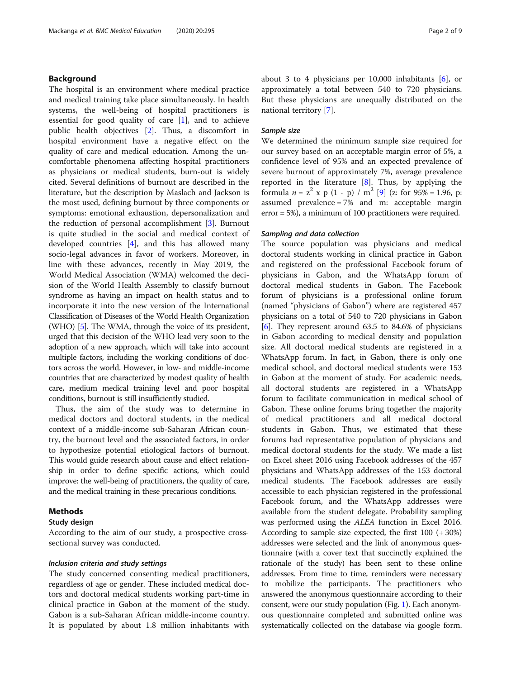# Background

The hospital is an environment where medical practice and medical training take place simultaneously. In health systems, the well-being of hospital practitioners is essential for good quality of care [[1\]](#page-7-0), and to achieve public health objectives [[2\]](#page-7-0). Thus, a discomfort in hospital environment have a negative effect on the quality of care and medical education. Among the uncomfortable phenomena affecting hospital practitioners as physicians or medical students, burn-out is widely cited. Several definitions of burnout are described in the literature, but the description by Maslach and Jackson is the most used, defining burnout by three components or symptoms: emotional exhaustion, depersonalization and the reduction of personal accomplishment [\[3](#page-7-0)]. Burnout is quite studied in the social and medical context of developed countries [\[4](#page-7-0)], and this has allowed many socio-legal advances in favor of workers. Moreover, in line with these advances, recently in May 2019, the World Medical Association (WMA) welcomed the decision of the World Health Assembly to classify burnout syndrome as having an impact on health status and to incorporate it into the new version of the International Classification of Diseases of the World Health Organization (WHO) [\[5](#page-7-0)]. The WMA, through the voice of its president, urged that this decision of the WHO lead very soon to the adoption of a new approach, which will take into account multiple factors, including the working conditions of doctors across the world. However, in low- and middle-income countries that are characterized by modest quality of health care, medium medical training level and poor hospital conditions, burnout is still insufficiently studied.

Thus, the aim of the study was to determine in medical doctors and doctoral students, in the medical context of a middle-income sub-Saharan African country, the burnout level and the associated factors, in order to hypothesize potential etiological factors of burnout. This would guide research about cause and effect relationship in order to define specific actions, which could improve: the well-being of practitioners, the quality of care, and the medical training in these precarious conditions.

# Methods

# Study design

According to the aim of our study, a prospective crosssectional survey was conducted.

## Inclusion criteria and study settings

The study concerned consenting medical practitioners, regardless of age or gender. These included medical doctors and doctoral medical students working part-time in clinical practice in Gabon at the moment of the study. Gabon is a sub-Saharan African middle-income country. It is populated by about 1.8 million inhabitants with about 3 to 4 physicians per 10,000 inhabitants [[6\]](#page-7-0), or approximately a total between 540 to 720 physicians. But these physicians are unequally distributed on the national territory [[7\]](#page-7-0).

# Sample size

We determined the minimum sample size required for our survey based on an acceptable margin error of 5%, a confidence level of 95% and an expected prevalence of severe burnout of approximately 7%, average prevalence reported in the literature  $[8]$  $[8]$ . Thus, by applying the formula  $n = z^2$  x p (1 - p) / m<sup>2</sup> [\[9](#page-7-0)] (z: for 95% = 1.96, p: assumed prevalence = 7% and m: acceptable margin error = 5%), a minimum of 100 practitioners were required.

## Sampling and data collection

The source population was physicians and medical doctoral students working in clinical practice in Gabon and registered on the professional Facebook forum of physicians in Gabon, and the WhatsApp forum of doctoral medical students in Gabon. The Facebook forum of physicians is a professional online forum (named "physicians of Gabon") where are registered 457 physicians on a total of 540 to 720 physicians in Gabon [[6\]](#page-7-0). They represent around 63.5 to 84.6% of physicians in Gabon according to medical density and population size. All doctoral medical students are registered in a WhatsApp forum. In fact, in Gabon, there is only one medical school, and doctoral medical students were 153 in Gabon at the moment of study. For academic needs, all doctoral students are registered in a WhatsApp forum to facilitate communication in medical school of Gabon. These online forums bring together the majority of medical practitioners and all medical doctoral students in Gabon. Thus, we estimated that these forums had representative population of physicians and medical doctoral students for the study. We made a list on Excel sheet 2016 using Facebook addresses of the 457 physicians and WhatsApp addresses of the 153 doctoral medical students. The Facebook addresses are easily accessible to each physician registered in the professional Facebook forum, and the WhatsApp addresses were available from the student delegate. Probability sampling was performed using the ALEA function in Excel 2016. According to sample size expected, the first 100 (+ 30%) addresses were selected and the link of anonymous questionnaire (with a cover text that succinctly explained the rationale of the study) has been sent to these online addresses. From time to time, reminders were necessary to mobilize the participants. The practitioners who answered the anonymous questionnaire according to their consent, were our study population (Fig. [1\)](#page-2-0). Each anonymous questionnaire completed and submitted online was systematically collected on the database via google form.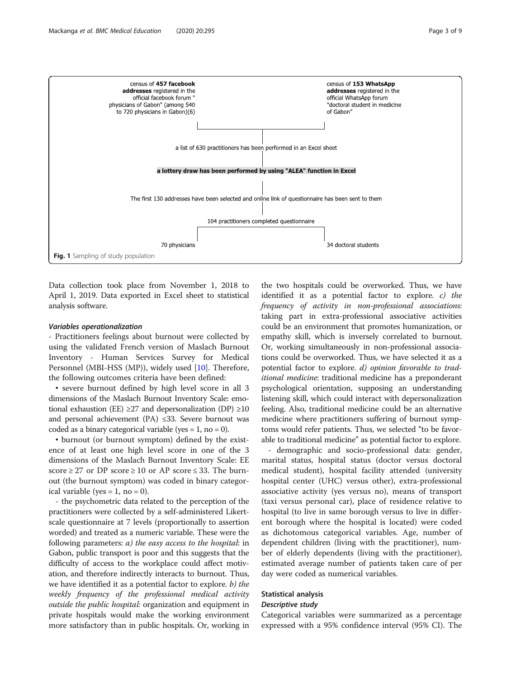<span id="page-2-0"></span>

The first 130 addresses have been selected and online link of questionnaire has been sent to them



Data collection took place from November 1, 2018 to April 1, 2019. Data exported in Excel sheet to statistical analysis software.

# Variables operationalization

- Practitioners feelings about burnout were collected by using the validated French version of Maslach Burnout Inventory - Human Services Survey for Medical Personnel (MBI-HSS (MP)), widely used [[10](#page-7-0)]. Therefore, the following outcomes criteria have been defined:

• severe burnout defined by high level score in all 3 dimensions of the Maslach Burnout Inventory Scale: emotional exhaustion (EE)  $\geq$ 27 and depersonalization (DP)  $\geq$ 10 and personal achievement (PA)  $\leq$ 33. Severe burnout was coded as a binary categorical variable (yes =  $1$ , no = 0).

• burnout (or burnout symptom) defined by the existence of at least one high level score in one of the 3 dimensions of the Maslach Burnout Inventory Scale: EE score  $\geq$  27 or DP score  $\geq$  10 or AP score  $\leq$  33. The burnout (the burnout symptom) was coded in binary categorical variable (yes = 1, no = 0).

- the psychometric data related to the perception of the practitioners were collected by a self-administered Likertscale questionnaire at 7 levels (proportionally to assertion worded) and treated as a numeric variable. These were the following parameters:  $a)$  the easy access to the hospital: in Gabon, public transport is poor and this suggests that the difficulty of access to the workplace could affect motivation, and therefore indirectly interacts to burnout. Thus, we have identified it as a potential factor to explore.  $b)$  the weekly frequency of the professional medical activity outside the public hospital: organization and equipment in private hospitals would make the working environment more satisfactory than in public hospitals. Or, working in

the two hospitals could be overworked. Thus, we have identified it as a potential factor to explore. c) the frequency of activity in non-professional associations: taking part in extra-professional associative activities could be an environment that promotes humanization, or empathy skill, which is inversely correlated to burnout. Or, working simultaneously in non-professional associations could be overworked. Thus, we have selected it as a potential factor to explore. d) opinion favorable to traditional medicine: traditional medicine has a preponderant psychological orientation, supposing an understanding listening skill, which could interact with depersonalization feeling. Also, traditional medicine could be an alternative medicine where practitioners suffering of burnout symptoms would refer patients. Thus, we selected "to be favorable to traditional medicine" as potential factor to explore.

- demographic and socio-professional data: gender, marital status, hospital status (doctor versus doctoral medical student), hospital facility attended (university hospital center (UHC) versus other), extra-professional associative activity (yes versus no), means of transport (taxi versus personal car), place of residence relative to hospital (to live in same borough versus to live in different borough where the hospital is located) were coded as dichotomous categorical variables. Age, number of dependent children (living with the practitioner), number of elderly dependents (living with the practitioner), estimated average number of patients taken care of per day were coded as numerical variables.

# Statistical analysis

# Descriptive study

Categorical variables were summarized as a percentage expressed with a 95% confidence interval (95% CI). The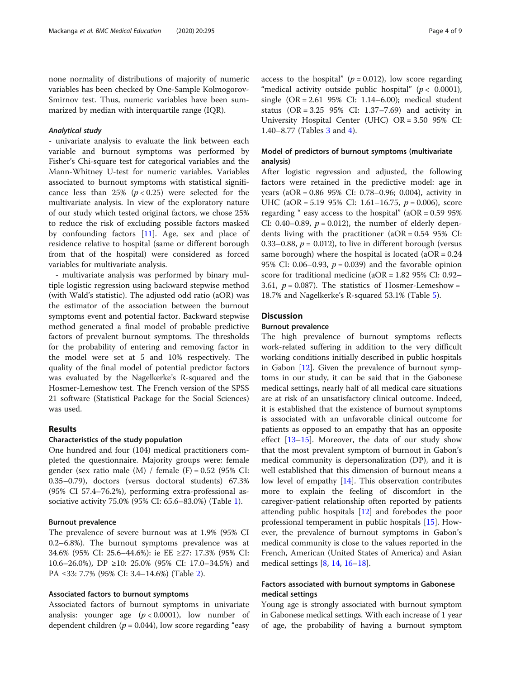none normality of distributions of majority of numeric variables has been checked by One-Sample Kolmogorov-Smirnov test. Thus, numeric variables have been summarized by median with interquartile range (IQR).

# Analytical study

- univariate analysis to evaluate the link between each variable and burnout symptoms was performed by Fisher's Chi-square test for categorical variables and the Mann-Whitney U-test for numeric variables. Variables associated to burnout symptoms with statistical significance less than 25%  $(p < 0.25)$  were selected for the multivariate analysis. In view of the exploratory nature of our study which tested original factors, we chose 25% to reduce the risk of excluding possible factors masked by confounding factors [[11\]](#page-7-0). Age, sex and place of residence relative to hospital (same or different borough from that of the hospital) were considered as forced variables for multivariate analysis.

- multivariate analysis was performed by binary multiple logistic regression using backward stepwise method (with Wald's statistic). The adjusted odd ratio (aOR) was the estimator of the association between the burnout symptoms event and potential factor. Backward stepwise method generated a final model of probable predictive factors of prevalent burnout symptoms. The thresholds for the probability of entering and removing factor in the model were set at 5 and 10% respectively. The quality of the final model of potential predictor factors was evaluated by the Nagelkerke's R-squared and the Hosmer-Lemeshow test. The French version of the SPSS 21 software (Statistical Package for the Social Sciences) was used.

# Results

## Characteristics of the study population

One hundred and four (104) medical practitioners completed the questionnaire. Majority groups were: female gender (sex ratio male  $(M)$  / female  $(F) = 0.52$  (95% CI: 0.35–0.79), doctors (versus doctoral students) 67.3% (95% CI 57.4–76.2%), performing extra-professional associative activity 75.0% (95% CI: 65.6–83.0%) (Table [1\)](#page-4-0).

## Burnout prevalence

The prevalence of severe burnout was at 1.9% (95% CI 0.2–6.8%). The burnout symptoms prevalence was at 34.6% (95% CI: 25.6–44.6%): ie EE ≥27: 17.3% (95% CI: 10.6–26.0%), DP ≥10: 25.0% (95% CI: 17.0–34.5%) and PA ≤33: 7.7% (95% CI: 3.4–14.6%) (Table [2\)](#page-5-0).

# Associated factors to burnout symptoms

Associated factors of burnout symptoms in univariate analysis: younger age  $(p < 0.0001)$ , low number of dependent children ( $p = 0.044$ ), low score regarding "easy access to the hospital" ( $p = 0.012$ ), low score regarding "medical activity outside public hospital" ( $p < 0.0001$ ), single (OR = 2.61 95% CI: 1.14–6.00); medical student status (OR = 3.25 95% CI: 1.37–7.69) and activity in University Hospital Center (UHC) OR = 3.50 95% CI: 1.40–8.77 (Tables [3](#page-5-0) and [4\)](#page-6-0).

# Model of predictors of burnout symptoms (multivariate analysis)

After logistic regression and adjusted, the following factors were retained in the predictive model: age in years (aOR = 0.86 95% CI: 0.78–0.96; 0.004), activity in UHC (aOR = 5.19 95% CI: 1.61–16.75,  $p = 0.006$ ), score regarding " easy access to the hospital"  $(aOR = 0.5995\%)$ CI: 0.40–0.89,  $p = 0.012$ ), the number of elderly dependents living with the practitioner (aOR = 0.54 95% CI: 0.33–0.88,  $p = 0.012$ ), to live in different borough (versus same borough) where the hospital is located  $(aOR = 0.24$ 95% CI: 0.06–0.93,  $p = 0.039$  and the favorable opinion score for traditional medicine (aOR = 1.82 95% CI: 0.92– 3.61,  $p = 0.087$ ). The statistics of Hosmer-Lemeshow = 18.7% and Nagelkerke's R-squared 53.1% (Table [5](#page-6-0)).

# **Discussion**

## Burnout prevalence

The high prevalence of burnout symptoms reflects work-related suffering in addition to the very difficult working conditions initially described in public hospitals in Gabon  $[12]$  $[12]$  $[12]$ . Given the prevalence of burnout symptoms in our study, it can be said that in the Gabonese medical settings, nearly half of all medical care situations are at risk of an unsatisfactory clinical outcome. Indeed, it is established that the existence of burnout symptoms is associated with an unfavorable clinical outcome for patients as opposed to an empathy that has an opposite effect [\[13](#page-8-0)–[15\]](#page-8-0). Moreover, the data of our study show that the most prevalent symptom of burnout in Gabon's medical community is depersonalization (DP), and it is well established that this dimension of burnout means a low level of empathy [[14\]](#page-8-0). This observation contributes more to explain the feeling of discomfort in the caregiver-patient relationship often reported by patients attending public hospitals [[12\]](#page-8-0) and forebodes the poor professional temperament in public hospitals [\[15\]](#page-8-0). However, the prevalence of burnout symptoms in Gabon's medical community is close to the values reported in the French, American (United States of America) and Asian medical settings [\[8](#page-7-0), [14](#page-8-0), [16](#page-8-0)–[18\]](#page-8-0).

# Factors associated with burnout symptoms in Gabonese medical settings

Young age is strongly associated with burnout symptom in Gabonese medical settings. With each increase of 1 year of age, the probability of having a burnout symptom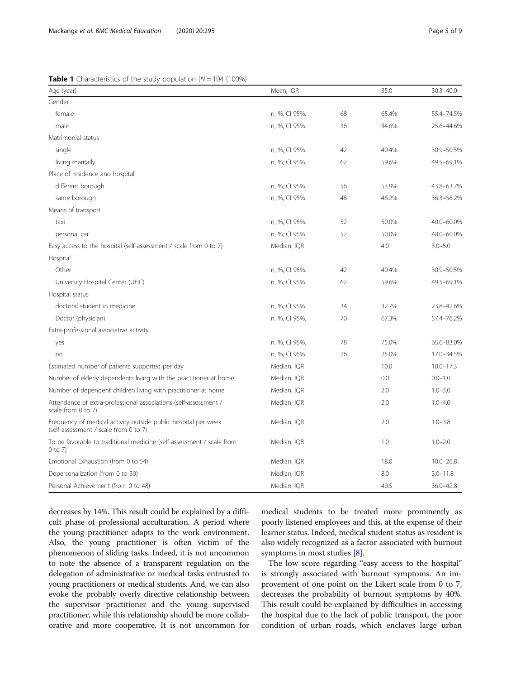<span id="page-4-0"></span>

| Age (year)                                                                                              | Mean, IQR     |    | 35.0  | $30.3 - 40.0$ |
|---------------------------------------------------------------------------------------------------------|---------------|----|-------|---------------|
| Gender                                                                                                  |               |    |       |               |
| female                                                                                                  | n, %, CI 95%. | 68 | 65.4% | 55.4-74.5%    |
| male                                                                                                    | n, %, CI 95%. | 36 | 34.6% | 25.6-44.6%    |
| Matrimonial status                                                                                      |               |    |       |               |
| single                                                                                                  | n, %, CI 95%. | 42 | 40.4% | 30.9-50.5%    |
| living maritally                                                                                        | n, %, CI 95%. | 62 | 59.6% | 49.5-69.1%    |
| Place of residence and hospital                                                                         |               |    |       |               |
| different borough                                                                                       | n, %, CI 95%. | 56 | 53.9% | 43.8-63.7%    |
| same borough                                                                                            | n, %, CI 95%. | 48 | 46.2% | 36.3-56.2%    |
| Means of transport                                                                                      |               |    |       |               |
| taxi                                                                                                    | n, %, CI 95%. | 52 | 50.0% | 40.0-60.0%    |
| personal car                                                                                            | n, %, CI 95%. | 52 | 50.0% | 40.0-60.0%    |
| Easy access to the hospital (self-assessment / scale from 0 to 7)                                       | Median, IQR   |    | 4.0   | $3.0 - 5.0$   |
| Hospital                                                                                                |               |    |       |               |
| Other                                                                                                   | n, %, CI 95%. | 42 | 40.4% | 30.9-50.5%    |
| University Hospital Center (UHC)                                                                        | n, %, CI 95%. | 62 | 59.6% | 49.5-69.1%    |
| Hospital status                                                                                         |               |    |       |               |
| doctoral student in medicine                                                                            | n, %, CI 95%. | 34 | 32.7% | 23.8-42.6%    |
| Doctor (physician)                                                                                      | n, %, CI 95%. | 70 | 67.3% | 57.4-76.2%    |
| Extra-professional associative activity                                                                 |               |    |       |               |
| yes                                                                                                     | n, %, CI 95%. | 78 | 75.0% | 65.6-83.0%    |
| no                                                                                                      | n, %, CI 95%. | 26 | 25.0% | 17.0-34.5%    |
| Estimated number of patients supported per day                                                          | Median, IQR   |    | 10.0  | $10.0 - 17.3$ |
| Number of elderly dependents living with the practitioner at home                                       | Median, IQR   |    | 0.0   | $0.0 - 1.0$   |
| Number of dependent children living with practitioner at home                                           | Median, IQR   |    | 2.0   | $1.0 - 3.0$   |
| Attendance of extra-professional associations (self-assessment /<br>scale from 0 to 7)                  | Median, IQR   |    | 2.0   | $1.0 - 4.0$   |
| Frequency of medical activity outside public hospital per week<br>(self-assessment / scale from 0 to 7) | Median, IQR   |    | 2.0   | $1.0 - 3.8$   |
| To be favorable to traditional medicine (self-assessment / scale from<br>$0$ to $7)$                    | Median, IQR   |    | 1.0   | $1.0 - 2.0$   |
| Emotional Exhaustion (from 0 to 54)                                                                     | Median, IQR   |    | 18.0  | $10.0 - 26.8$ |
| Depersonalization (from 0 to 30)                                                                        | Median, IQR   |    | 8.0   | $3.0 - 11.8$  |
| Personal Achievement (from 0 to 48)                                                                     | Median, IQR   |    | 40.5  | $36.0 - 42.8$ |

decreases by 14%. This result could be explained by a difficult phase of professional acculturation. A period where the young practitioner adapts to the work environment. Also, the young practitioner is often victim of the phenomenon of sliding tasks. Indeed, it is not uncommon to note the absence of a transparent regulation on the delegation of administrative or medical tasks entrusted to young practitioners or medical students. And, we can also evoke the probably overly directive relationship between the supervisor practitioner and the young supervised practitioner, while this relationship should be more collaborative and more cooperative. It is not uncommon for

medical students to be treated more prominently as poorly listened employees and this, at the expense of their learner status. Indeed, medical student status as resident is also widely recognized as a factor associated with burnout symptoms in most studies [[8\]](#page-7-0).

The low score regarding "easy access to the hospital" is strongly associated with burnout symptoms. An improvement of one point on the Likert scale from 0 to 7, decreases the probability of burnout symptoms by 40%. This result could be explained by difficulties in accessing the hospital due to the lack of public transport, the poor condition of urban roads, which enclaves large urban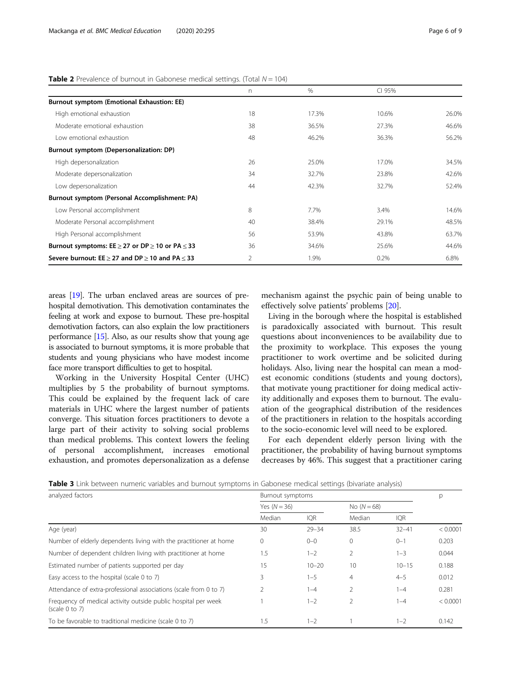|                                                                | n  | $\frac{0}{0}$ | CI 95% |       |  |  |  |  |
|----------------------------------------------------------------|----|---------------|--------|-------|--|--|--|--|
| <b>Burnout symptom (Emotional Exhaustion: EE)</b>              |    |               |        |       |  |  |  |  |
| High emotional exhaustion                                      | 18 | 17.3%         | 10.6%  | 26.0% |  |  |  |  |
| Moderate emotional exhaustion                                  | 38 | 36.5%         | 27.3%  | 46.6% |  |  |  |  |
| Low emotional exhaustion                                       | 48 | 46.2%         | 36.3%  | 56.2% |  |  |  |  |
| Burnout symptom (Depersonalization: DP)                        |    |               |        |       |  |  |  |  |
| High depersonalization                                         | 26 | 25.0%         | 17.0%  | 34.5% |  |  |  |  |
| Moderate depersonalization                                     | 34 | 32.7%         | 23.8%  | 42.6% |  |  |  |  |
| Low depersonalization                                          | 44 | 42.3%         | 32.7%  | 52.4% |  |  |  |  |
| Burnout symptom (Personal Accomplishment: PA)                  |    |               |        |       |  |  |  |  |
| Low Personal accomplishment                                    | 8  | 7.7%          | 3.4%   | 14.6% |  |  |  |  |
| Moderate Personal accomplishment                               | 40 | 38.4%         | 29.1%  | 48.5% |  |  |  |  |
| High Personal accomplishment                                   | 56 | 53.9%         | 43.8%  | 63.7% |  |  |  |  |
| Burnout symptoms: $EE \geq 27$ or $DP \geq 10$ or $PA \leq 33$ | 36 | 34.6%         | 25.6%  | 44.6% |  |  |  |  |
| Severe burnout: $EE > 27$ and $DP > 10$ and $PA < 33$          | 2  | 1.9%          | 0.2%   | 6.8%  |  |  |  |  |

<span id="page-5-0"></span>**Table 2** Prevalence of burnout in Gabonese medical settings. (Total  $N = 104$ )

areas [[19](#page-8-0)]. The urban enclaved areas are sources of prehospital demotivation. This demotivation contaminates the feeling at work and expose to burnout. These pre-hospital demotivation factors, can also explain the low practitioners performance [\[15\]](#page-8-0). Also, as our results show that young age is associated to burnout symptoms, it is more probable that students and young physicians who have modest income face more transport difficulties to get to hospital.

Working in the University Hospital Center (UHC) multiplies by 5 the probability of burnout symptoms. This could be explained by the frequent lack of care materials in UHC where the largest number of patients converge. This situation forces practitioners to devote a large part of their activity to solving social problems than medical problems. This context lowers the feeling of personal accomplishment, increases emotional exhaustion, and promotes depersonalization as a defense

mechanism against the psychic pain of being unable to effectively solve patients' problems [[20](#page-8-0)].

Living in the borough where the hospital is established is paradoxically associated with burnout. This result questions about inconveniences to be availability due to the proximity to workplace. This exposes the young practitioner to work overtime and be solicited during holidays. Also, living near the hospital can mean a modest economic conditions (students and young doctors), that motivate young practitioner for doing medical activity additionally and exposes them to burnout. The evaluation of the geographical distribution of the residences of the practitioners in relation to the hospitals according to the socio-economic level will need to be explored.

For each dependent elderly person living with the practitioner, the probability of having burnout symptoms decreases by 46%. This suggest that a practitioner caring

|  |  | Table 3 Link between numeric variables and burnout symptoms in Gabonese medical settings (bivariate analysis) |  |  |  |
|--|--|---------------------------------------------------------------------------------------------------------------|--|--|--|
|--|--|---------------------------------------------------------------------------------------------------------------|--|--|--|

| analyzed factors                                                                 | Burnout symptoms | p          |                |            |          |
|----------------------------------------------------------------------------------|------------------|------------|----------------|------------|----------|
|                                                                                  | Yes $(N = 36)$   |            | No $(N = 68)$  |            |          |
|                                                                                  | Median           | <b>IQR</b> | Median         | <b>IQR</b> |          |
| Age (year)                                                                       | 30               | $79 - 34$  | 38.5           | $32 - 41$  | < 0.0001 |
| Number of elderly dependents living with the practitioner at home                | $\mathbf 0$      | $0 - 0$    | $\mathbf 0$    | $0 - 1$    | 0.203    |
| Number of dependent children living with practitioner at home                    | 1.5              | $1 - 2$    | $\overline{2}$ | $1 - 3$    | 0.044    |
| Estimated number of patients supported per day                                   | 15               | $10 - 20$  | 10             | $10 - 15$  | 0.188    |
| Easy access to the hospital (scale 0 to 7)                                       | 3                | $1 - 5$    | $\overline{4}$ | $4 - 5$    | 0.012    |
| Attendance of extra-professional associations (scale from 0 to 7)                | 2                | $1 - 4$    | $\overline{2}$ | $1 - 4$    | 0.281    |
| Frequency of medical activity outside public hospital per week<br>(scale 0 to 7) |                  | $1 - 2$    | $\overline{2}$ | $1 - 4$    | < 0.0001 |
| To be favorable to traditional medicine (scale 0 to 7)                           | 1.5              | $1 - 2$    |                | $1 - 2$    | 0.142    |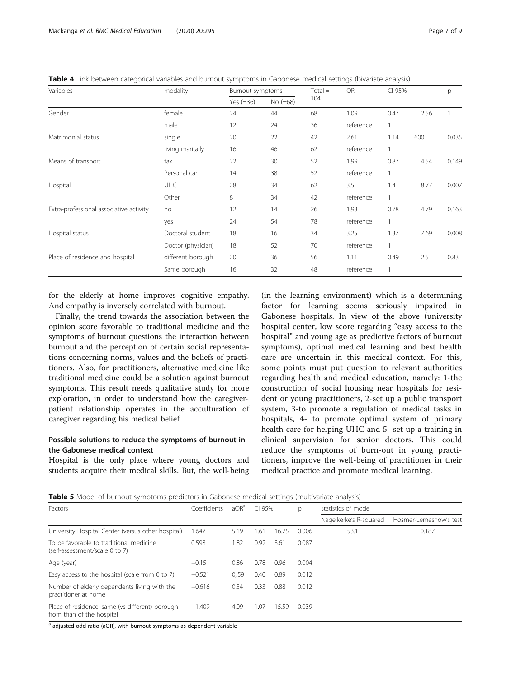<span id="page-6-0"></span>Table 4 Link between categorical variables and burnout symptoms in Gabonese medical settings (bivariate analysis)

| Variables                               | modality           | Burnout symptoms |            | $Total =$ | <b>OR</b> |      | CI 95% | p     |
|-----------------------------------------|--------------------|------------------|------------|-----------|-----------|------|--------|-------|
|                                         |                    | Yes $(=36)$      | $No (=68)$ | 104       |           |      |        |       |
| Gender                                  | female             | 24               | 44         | 68        | 1.09      | 0.47 | 2.56   |       |
|                                         | male               | 12               | 24         | 36        | reference | 1    |        |       |
| Matrimonial status                      | single             | 20               | 22         | 42        | 2.61      | 1.14 | 600    | 0.035 |
|                                         | living maritally   | 16               | 46         | 62        | reference |      |        |       |
| Means of transport                      | taxi               | 22               | 30         | 52        | 1.99      | 0.87 | 4.54   | 0.149 |
|                                         | Personal car       | 14               | 38         | 52        | reference |      |        |       |
| Hospital                                | <b>UHC</b>         | 28               | 34         | 62        | 3.5       | 1.4  | 8.77   | 0.007 |
|                                         | Other              | 8                | 34         | 42        | reference | 1    |        |       |
| Extra-professional associative activity | no                 | 12               | 14         | 26        | 1.93      | 0.78 | 4.79   | 0.163 |
|                                         | yes                | 24               | 54         | 78        | reference |      |        |       |
| Hospital status                         | Doctoral student   | 18               | 16         | 34        | 3.25      | 1.37 | 7.69   | 0.008 |
|                                         | Doctor (physician) | 18               | 52         | 70        | reference |      |        |       |
| Place of residence and hospital         | different borough  | 20               | 36         | 56        | 1.11      | 0.49 | 2.5    | 0.83  |
|                                         | Same borough       | 16               | 32         | 48        | reference |      |        |       |

for the elderly at home improves cognitive empathy. And empathy is inversely correlated with burnout.

Finally, the trend towards the association between the opinion score favorable to traditional medicine and the symptoms of burnout questions the interaction between burnout and the perception of certain social representations concerning norms, values and the beliefs of practitioners. Also, for practitioners, alternative medicine like traditional medicine could be a solution against burnout symptoms. This result needs qualitative study for more exploration, in order to understand how the caregiverpatient relationship operates in the acculturation of caregiver regarding his medical belief.

# Possible solutions to reduce the symptoms of burnout in the Gabonese medical context

Hospital is the only place where young doctors and students acquire their medical skills. But, the well-being

(in the learning environment) which is a determining factor for learning seems seriously impaired in Gabonese hospitals. In view of the above (university hospital center, low score regarding "easy access to the hospital" and young age as predictive factors of burnout symptoms), optimal medical learning and best health care are uncertain in this medical context. For this, some points must put question to relevant authorities regarding health and medical education, namely: 1-the construction of social housing near hospitals for resident or young practitioners, 2-set up a public transport system, 3-to promote a regulation of medical tasks in hospitals, 4- to promote optimal system of primary health care for helping UHC and 5- set up a training in clinical supervision for senior doctors. This could reduce the symptoms of burn-out in young practitioners, improve the well-being of practitioner in their medical practice and promote medical learning.

Table 5 Model of burnout symptoms predictors in Gabonese medical settings (multivariate analysis)

| Factors                                                                      | Coefficients | aOR <sup>a</sup> | CI 95% |       | p     | statistics of model    |                        |  |
|------------------------------------------------------------------------------|--------------|------------------|--------|-------|-------|------------------------|------------------------|--|
|                                                                              |              |                  |        |       |       | Nagelkerke's R-squared | Hosmer-Lemeshow's test |  |
| University Hospital Center (versus other hospital)                           | .647         | 5.19             | 1.61   | 16.75 | 0.006 | 53.1                   | 0.187                  |  |
| To be favorable to traditional medicine<br>(self-assessment/scale 0 to 7)    | 0.598        | 1.82             | 0.92   | 3.61  | 0.087 |                        |                        |  |
| Age (year)                                                                   | $-0.15$      | 0.86             | 0.78   | 0.96  | 0.004 |                        |                        |  |
| Easy access to the hospital (scale from 0 to 7)                              | $-0.521$     | 0.59             | 0.40   | 0.89  | 0.012 |                        |                        |  |
| Number of elderly dependents living with the<br>practitioner at home         | $-0.616$     | 0.54             | 0.33   | 0.88  | 0.012 |                        |                        |  |
| Place of residence: same (vs different) borough<br>from than of the hospital | $-1.409$     | 4.09             | l .07  | 15.59 | 0.039 |                        |                        |  |

<sup>a</sup> adjusted odd ratio (aOR), with burnout symptoms as dependent variable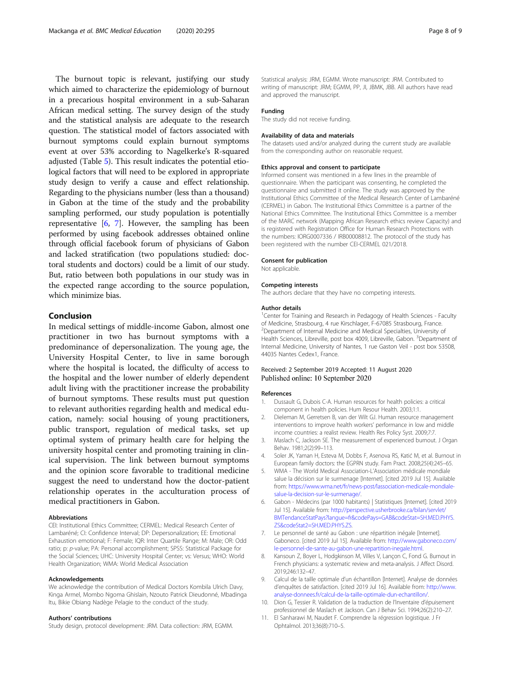<span id="page-7-0"></span>The burnout topic is relevant, justifying our study which aimed to characterize the epidemiology of burnout in a precarious hospital environment in a sub-Saharan African medical setting. The survey design of the study and the statistical analysis are adequate to the research question. The statistical model of factors associated with burnout symptoms could explain burnout symptoms event at over 53% according to Nagelkerke's R-squared adjusted (Table [5](#page-6-0)). This result indicates the potential etiological factors that will need to be explored in appropriate study design to verify a cause and effect relationship. Regarding to the physicians number (less than a thousand) in Gabon at the time of the study and the probability sampling performed, our study population is potentially representative [6, 7]. However, the sampling has been performed by using facebook addresses obtained online through official facebook forum of physicians of Gabon and lacked stratification (two populations studied: doctoral students and doctors) could be a limit of our study. But, ratio between both populations in our study was in the expected range according to the source population, which minimize bias.

# Conclusion

In medical settings of middle-income Gabon, almost one practitioner in two has burnout symptoms with a predominance of depersonalization. The young age, the University Hospital Center, to live in same borough where the hospital is located, the difficulty of access to the hospital and the lower number of elderly dependent adult living with the practitioner increase the probability of burnout symptoms. These results must put question to relevant authorities regarding health and medical education, namely: social housing of young practitioners, public transport, regulation of medical tasks, set up optimal system of primary health care for helping the university hospital center and promoting training in clinical supervision. The link between burnout symptoms and the opinion score favorable to traditional medicine suggest the need to understand how the doctor-patient relationship operates in the acculturation process of medical practitioners in Gabon.

#### Abbreviations

CEI: Institutional Ethics Committee; CERMEL: Medical Research Center of Lambaréné; CI: Confidence Interval; DP: Depersonalization; EE: Emotional Exhaustion emotional; F: Female; IQR: Inter Quartile Range; M: Male; OR: Odd ratio; p: p-value; PA: Personal accomplishment; SPSS: Statistical Package for the Social Sciences; UHC: University Hospital Center; vs: Versus; WHO: World Health Organization; WMA: World Medical Association

## Acknowledgements

We acknowledge the contribution of Medical Doctors Kombila Ulrich Davy, Kinga Armel, Mombo Ngoma Ghislain, Nzouto Patrick Dieudonné, Mbadinga Itu, Bikie Obiang Nadège Pelagie to the conduct of the study.

## Authors' contributions

Study design, protocol development: JRM. Data collection: JRM, EGMM.

Statistical analysis: JRM, EGMM. Wrote manuscript: JRM. Contributed to writing of manuscript: JRM; EGMM, PP, JI, JBMK, JBB. All authors have read and approved the manuscript.

#### Funding

The study did not receive funding.

### Availability of data and materials

The datasets used and/or analyzed during the current study are available from the corresponding author on reasonable request.

## Ethics approval and consent to participate

Informed consent was mentioned in a few lines in the preamble of questionnaire. When the participant was consenting, he completed the questionnaire and submitted it online. The study was approved by the Institutional Ethics Committee of the Medical Research Center of Lambaréné (CERMEL) in Gabon. The Institutional Ethics Committee is a partner of the National Ethics Committee. The Institutional Ethics Committee is a member of the MARC network (Mapping African Research ethics review Capacity) and is registered with Registration Office for Human Research Protections with the numbers: IORG0007336 / IRB00008812. The protocol of the study has been registered with the number CEI-CERMEL 021/2018.

# Consent for publication

Not applicable.

### Competing interests

The authors declare that they have no competing interests.

#### Author details

<sup>1</sup> Center for Training and Research in Pedagogy of Health Sciences - Faculty of Medicine, Strasbourg, 4 rue Kirschlager, F-67085 Strasbourg, France. 2 Department of Internal Medicine and Medical Specialties, University of Health Sciences, Libreville, post box 4009, Libreville, Gabon. <sup>3</sup>Department of Internal Medicine, University of Nantes, 1 rue Gaston Veil - post box 53508, 44035 Nantes Cedex1, France.

## Received: 2 September 2019 Accepted: 11 August 2020 Published online: 10 September 2020

#### References

- 1. Dussault G, Dubois C-A. Human resources for health policies: a critical component in health policies. Hum Resour Health. 2003;1:1.
- 2. Dieleman M, Gerretsen B, van der Wilt GJ. Human resource management interventions to improve health workers' performance in low and middle income countries: a realist review. Health Res Policy Syst. 2009;7:7.
- 3. Maslach C, Jackson SE. The measurement of experienced burnout. J Organ Behav. 1981;2(2):99–113.
- 4. Soler JK, Yaman H, Esteva M, Dobbs F, Asenova RS, Katić M, et al. Burnout in European family doctors: the EGPRN study. Fam Pract. 2008;25(4):245–65.
- 5. WMA The World Medical Association-L'Association médicale mondiale salue la décision sur le surmenage [Internet]. [cited 2019 Jul 15]. Available from: [https://www.wma.net/fr/news-post/lassociation-medicale-mondiale](https://www.wma.net/fr/news-post/lassociation-medicale-mondiale-salue-la-decision-sur-le-surmenage/)[salue-la-decision-sur-le-surmenage/](https://www.wma.net/fr/news-post/lassociation-medicale-mondiale-salue-la-decision-sur-le-surmenage/).
- 6. Gabon Médecins (par 1000 habitants) | Statistiques [Internet]. [cited 2019 Jul 15]. Available from: [http://perspective.usherbrooke.ca/bilan/servlet/](http://perspective.usherbrooke.ca/bilan/servlet/BMTendanceStatPays?langue=fr&codePays=GAB&codeStat=SH.MED.PHYS.ZS&codeStat2=SH.MED.PHYS.ZS) [BMTendanceStatPays?langue=fr&codePays=GAB&codeStat=SH.MED.PHYS.](http://perspective.usherbrooke.ca/bilan/servlet/BMTendanceStatPays?langue=fr&codePays=GAB&codeStat=SH.MED.PHYS.ZS&codeStat2=SH.MED.PHYS.ZS) [ZS&codeStat2=SH.MED.PHYS.ZS.](http://perspective.usherbrooke.ca/bilan/servlet/BMTendanceStatPays?langue=fr&codePays=GAB&codeStat=SH.MED.PHYS.ZS&codeStat2=SH.MED.PHYS.ZS)
- 7. Le personnel de santé au Gabon : une répartition inégale [Internet]. Gaboneco. [cited 2019 Jul 15]. Available from: [http://www.gaboneco.com/](http://www.gaboneco.com/le-personnel-de-sante-au-gabon-une-repartition-inegale.html) [le-personnel-de-sante-au-gabon-une-repartition-inegale.html.](http://www.gaboneco.com/le-personnel-de-sante-au-gabon-une-repartition-inegale.html)
- Kansoun Z, Boyer L, Hodgkinson M, Villes V, Lançon C, Fond G. Burnout in French physicians: a systematic review and meta-analysis. J Affect Disord. 2019;246:132–47.
- 9. Calcul de la taille optimale d'un échantillon [Internet]. Analyse de données d'enquêtes de satisfaction. [cited 2019 Jul 16]. Available from: [http://www.](http://www.analyse-donnees.fr/calcul-de-la-taille-optimale-dun-echantillon/) [analyse-donnees.fr/calcul-de-la-taille-optimale-dun-echantillon/.](http://www.analyse-donnees.fr/calcul-de-la-taille-optimale-dun-echantillon/)
- 10. Dion G, Tessier R. Validation de la traduction de l'Inventaire d'épuisement professionnel de Maslach et Jackson. Can J Behav Sci. 1994;26(2):210–27.
- 11. El Sanharawi M, Naudet F. Comprendre la régression logistique. J Fr Ophtalmol. 2013;36(8):710–5.